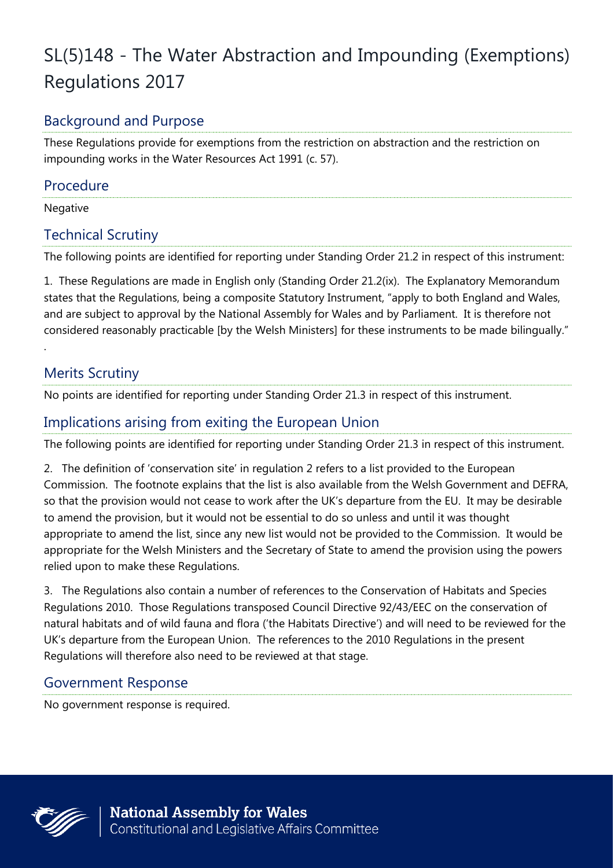# SL(5)148 - The Water Abstraction and Impounding (Exemptions) Regulations 2017

## Background and Purpose

These Regulations provide for exemptions from the restriction on abstraction and the restriction on impounding works in the Water Resources Act 1991 (c. 57).

#### Procedure

Negative

.

#### Technical Scrutiny

The following points are identified for reporting under Standing Order 21.2 in respect of this instrument:

1. These Regulations are made in English only (Standing Order 21.2(ix). The Explanatory Memorandum states that the Regulations, being a composite Statutory Instrument, "apply to both England and Wales, and are subject to approval by the National Assembly for Wales and by Parliament. It is therefore not considered reasonably practicable [by the Welsh Ministers] for these instruments to be made bilingually."

## Merits Scrutiny

No points are identified for reporting under Standing Order 21.3 in respect of this instrument.

## Implications arising from exiting the European Union

The following points are identified for reporting under Standing Order 21.3 in respect of this instrument.

2. The definition of 'conservation site' in regulation 2 refers to a list provided to the European Commission. The footnote explains that the list is also available from the Welsh Government and DEFRA, so that the provision would not cease to work after the UK's departure from the EU. It may be desirable to amend the provision, but it would not be essential to do so unless and until it was thought appropriate to amend the list, since any new list would not be provided to the Commission. It would be appropriate for the Welsh Ministers and the Secretary of State to amend the provision using the powers relied upon to make these Regulations.

3. The Regulations also contain a number of references to the Conservation of Habitats and Species Regulations 2010. Those Regulations transposed Council Directive 92/43/EEC on the conservation of natural habitats and of wild fauna and flora ('the Habitats Directive') and will need to be reviewed for the UK's departure from the European Union. The references to the 2010 Regulations in the present Regulations will therefore also need to be reviewed at that stage.

### Government Response

No government response is required.